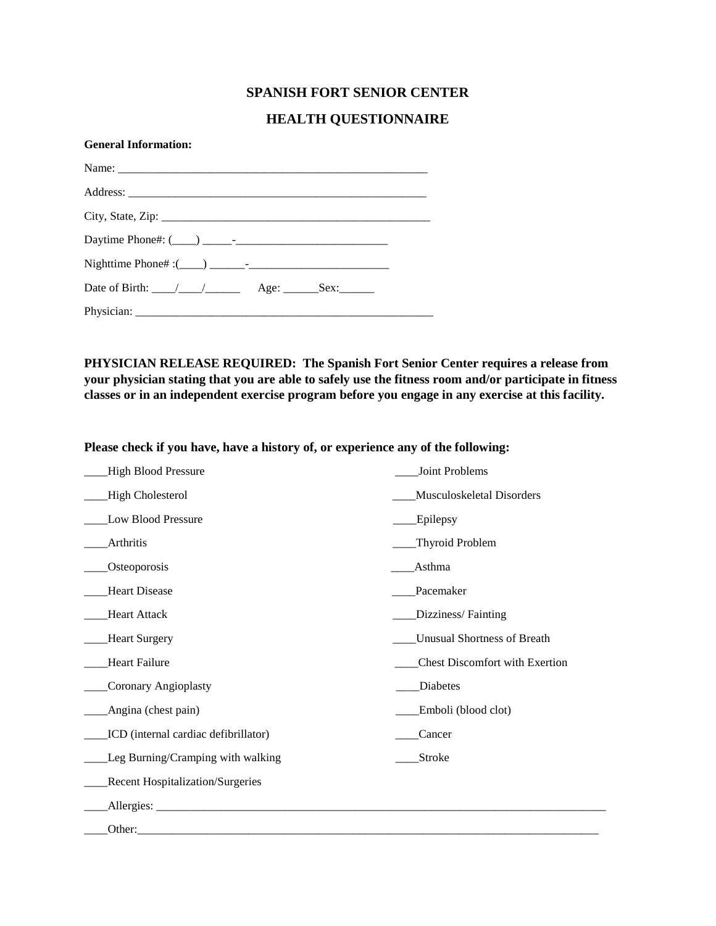### **SPANISH FORT SENIOR CENTER**

### **HEALTH QUESTIONNAIRE**

| <b>General Information:</b>                         |  |
|-----------------------------------------------------|--|
|                                                     |  |
|                                                     |  |
|                                                     |  |
|                                                     |  |
|                                                     |  |
| Date of Birth: $\angle$ $\angle$ $\angle$ Age: Sex: |  |
|                                                     |  |

**PHYSICIAN RELEASE REQUIRED: The Spanish Fort Senior Center requires a release from your physician stating that you are able to safely use the fitness room and/or participate in fitness classes or in an independent exercise program before you engage in any exercise at this facility.**

**Please check if you have, have a history of, or experience any of the following:**

| <b>High Blood Pressure</b>              | Joint Problems                        |
|-----------------------------------------|---------------------------------------|
| High Cholesterol                        | Musculoskeletal Disorders             |
| Low Blood Pressure                      | Epilepsy                              |
| Arthritis                               | Thyroid Problem                       |
| Osteoporosis                            | Asthma                                |
| <b>Heart Disease</b>                    | Pacemaker                             |
| <b>Heart Attack</b>                     | Dizziness/Fainting                    |
| <b>Heart Surgery</b>                    | <b>Unusual Shortness of Breath</b>    |
| <b>Heart Failure</b>                    | <b>Chest Discomfort with Exertion</b> |
| Coronary Angioplasty                    | Diabetes                              |
| Angina (chest pain)                     | Emboli (blood clot)                   |
| ICD (internal cardiac defibrillator)    | Cancer                                |
| Leg Burning/Cramping with walking       | Stroke                                |
| <b>Recent Hospitalization/Surgeries</b> |                                       |
| Allergies:                              |                                       |
| Other:                                  |                                       |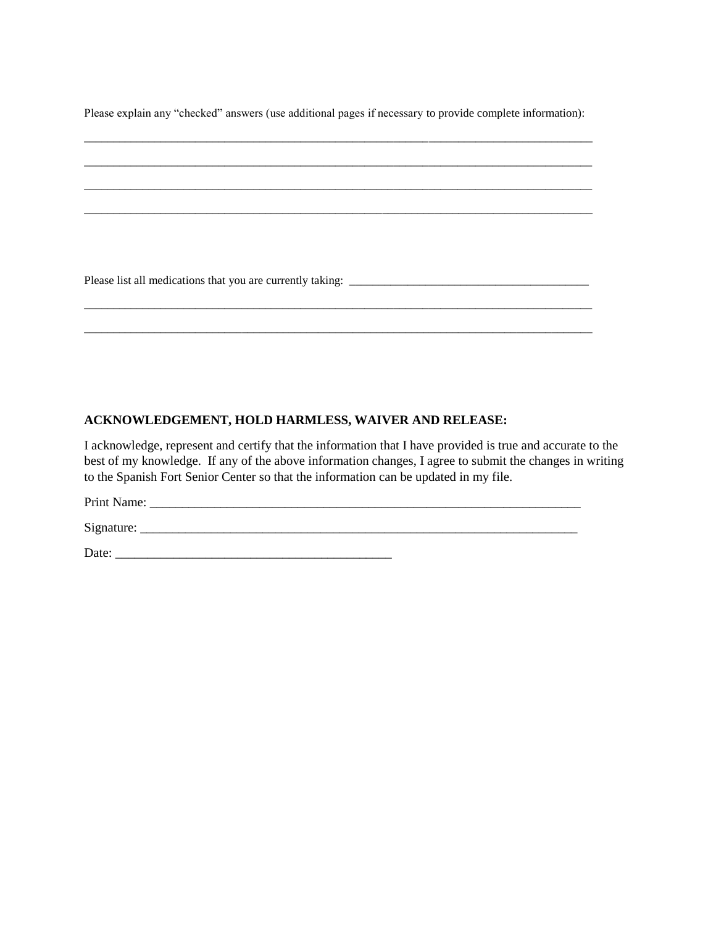Please explain any "checked" answers (use additional pages if necessary to provide complete information):

#### **ACKNOWLEDGEMENT, HOLD HARMLESS, WAIVER AND RELEASE:**

I acknowledge, represent and certify that the information that I have provided is true and accurate to the best of my knowledge. If any of the above information changes, I agree to submit the changes in writing to the Spanish Fort Senior Center so that the information can be updated in my file.

Print Name: \_\_\_\_\_\_\_\_\_\_\_\_\_\_\_\_\_\_\_\_\_\_\_\_\_\_\_\_\_\_\_\_\_\_\_\_\_\_\_\_\_\_\_\_\_\_\_\_\_\_\_\_\_\_\_\_\_\_\_\_\_\_\_\_\_\_\_

 $Signature:$ 

Date: \_\_\_\_\_\_\_\_\_\_\_\_\_\_\_\_\_\_\_\_\_\_\_\_\_\_\_\_\_\_\_\_\_\_\_\_\_\_\_\_\_\_\_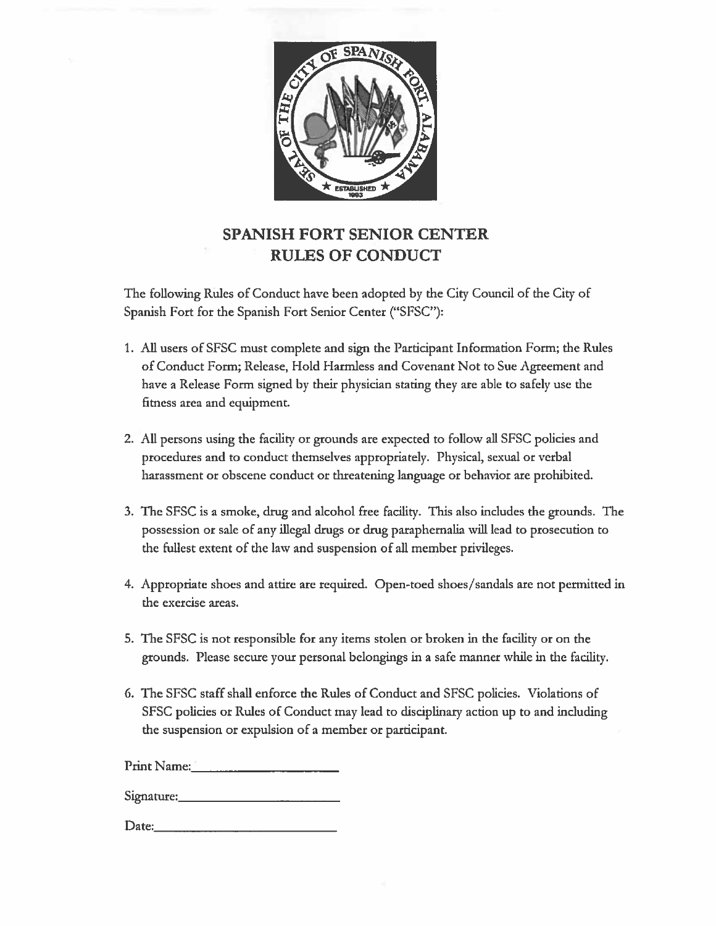

# **SPANISH FORT SENIOR CENTER RULES OF CONDUCT**

The following Rules of Conduct have been adopted by the City Council of the City of Spanish Fort for the Spanish Fort Senior Center ("SFSC"):

- 1. All users of SFSC must complete and sign the Participant Information Form; the Rules of Conduct Form; Release, Hold Harmless and Covenant Not to Sue Agreement and have a Release Form signed by their physician stating they are able to safely use the fitness area and equipment.
- 2. All persons using the facility or grounds are expected to follow all SFSC policies and procedures and to conduct themselves appropriately. Physical, sexual or verbal harassment or obscene conduct or threatening language or behavior are prohibited.
- 3. The SFSC is a smoke, drug and alcohol free facility. This also includes the grounds. The possession or sale of any illegal drugs or drug paraphernalia will lead to prosecution to the fullest extent of the law and suspension of all member privileges.
- 4. Appropriate shoes and attire are required. Open-toed shoes/sandals are not permitted in the exercise areas.
- 5. The SFSC is not responsible for any items stolen or broken in the facility or on the grounds. Please secure your personal belongings in a safe manner while in the facility.
- 6. The SFSC staff shall enforce the Rules of Conduct and SFSC policies. Violations of SFSC policies or Rules of Conduct may lead to disciplinary action up to and including the suspension or expulsion of a member or participant.

Print Name:

Date: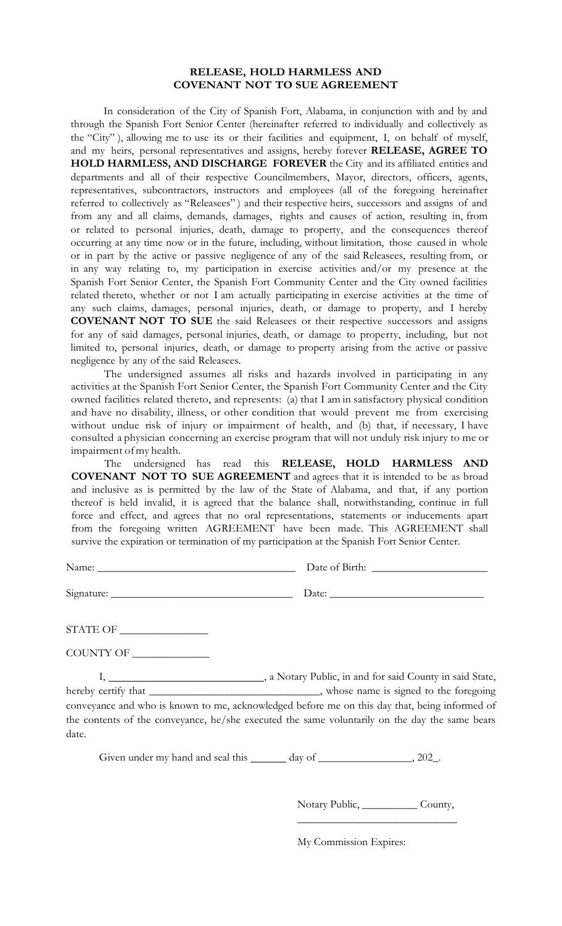### **RELEASE, HOLD HARMLESS AND COVENANT NOT TO SUE AGREEMENT**

In consideration of the City of Spanish Fort, Alabama, in conjunction with and by and through the Spanish Fort Senior Center (hereinafter referred to individually and collectively as the "City" ), allowing me to use its or their facilities and equipment, I, on behalf of myself, and my heirs, personal representatives and assigns, hereby forever **RELEASE, AGREE TO HOLD HARMLESS, AND DISCHARGE FOREVER** the City and its affiliated entities and departments and all of their respective Councilmembers, Mayor, directors, officers, agents, representatives, subcontractors, instructors and employees (all of the foregoing hereinafter referred to collectively as "Releasees") and their respective heirs, successors and assigns of and from any and all claims, demands, damages, rights and causes of action, resulting in, from or related to personal injuries, death, damage to property, and the consequences thereof occurring at any time now or in the future, including, without limitation, those caused in whole or in part by the active or passive negligence of any of the said Releasees, resulting from, or in any way relating to, my participation in exercise activities and/or my presence at the Spanish Fort Senior Center, the Spanish Fort Community Center and the City owned facilities related thereto, whether or not I am actually participating in exercise activities at the time of any such claims, damages, personal injuries, death, or damage to property, and I hereby **COVENANT NOT TO SUE** the said Releasees or their respective successors and assigns for any of said damages, personal injuries, death, or damage to property, including, but not limited to, personal injuries, death, or damage to property arising from the active or passive negligence by any of the said Releasees.

The undersigned assumes all risks and hazards involved in participating in any activities at the Spanish Fort Senior Center, the Spanish Fort Community Center and the City owned facilities related thereto, and represents: (a) that I am in satisfactory physical condition and have no disability, illness, or other condition that would prevent me from exercising without undue risk of injury or impairment of health, and (b) that, if necessary, I have consulted a physician concerning an exercise program that will not unduly risk injury to me or impairment ofmy health.

The undersigned has read this **RELEASE, HOLD HARMLESS AND COVENANT NOT TO SUE AGREEMENT** and agrees that it is intended to be as broad and inclusive as is permitted by the law of the State of Alabama, and that, if any portion thereof is held invalid, it is agreed that the balance shall, notwithstanding, continue in full force and effect, and agrees that no oral representations, statements or inducements apart from the foregoing written AGREEMENT have been made. This AGREEMENT shall survive the expiration or termination of my participation at the Spanish Fort Senior Center.

Signature: \_\_\_\_\_\_\_\_\_\_\_\_\_\_\_\_\_\_\_\_\_\_\_\_\_\_\_\_\_\_\_\_\_ Date: \_\_\_\_\_\_\_\_\_\_\_\_\_\_\_\_\_\_\_\_\_\_\_\_\_\_\_\_

Name: \_\_\_\_\_\_\_\_\_\_\_\_\_\_\_\_\_\_\_\_\_\_\_\_\_\_\_\_\_\_\_\_\_\_\_\_ Date of Birth: \_\_\_\_\_\_\_\_\_\_\_\_\_\_\_\_\_\_\_\_\_

STATE OF  $\_\_$ 

COUNTY OF \_\_\_\_\_\_\_\_\_\_\_\_\_\_

I, , a Notary Public, in and for said County in said State, hereby certify that \_\_\_\_\_\_\_\_\_\_\_\_\_\_\_\_\_\_\_\_\_\_\_\_\_\_\_\_, whose name is signed to the foregoing conveyance and who is known to me, acknowledged before me on this day that, being informed of the contents of the conveyance, he/she executed the same voluntarily on the day the same bears date.

Given under my hand and seal this  $\_\_\_\_$  day of  $\_\_\_\_\_\_\_$ , 202 $\_\_\_\_\_\_$ .

Notary Public, \_\_\_\_\_\_\_\_\_\_\_\_ County,  $\overline{\phantom{a}}$  , where  $\overline{\phantom{a}}$  , where  $\overline{\phantom{a}}$  , where  $\overline{\phantom{a}}$ 

My Commission Expires: